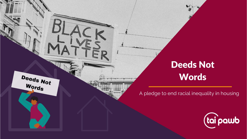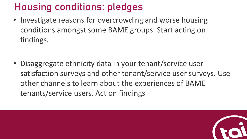## Housing conditions: pledges

• Investigate reasons for overcrowding and worse housing conditions amongst some BAME groups. Start acting on findings.

• Disaggregate ethnicity data in your tenant/service user satisfaction surveys and other tenant/service user surveys. Use other channels to learn about the experiences of BAME tenants/service users. Act on findings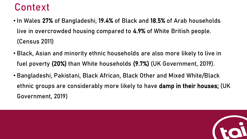### Context

- In Wales 27% of Bangladeshi, 19.4% of Black and 18.5% of Arab households live in overcrowded housing compared to 4.9% of White British people. (Census 2011)
- Black, Asian and minority ethnic households are also more likely to live in fuel poverty (20%) than White households (9.7%) (UK Government, 2019).
- Bangladeshi, Pakistani, Black African, Black Other and Mixed White/Black ethnic groups are considerably more likely to have damp in their houses; (UK Government, 2019)

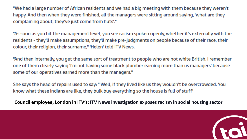"We had a large number of African residents and we had a big meeting with them because they weren't happy. And then when they were finished, all the managers were sitting around saying, 'what are they complaining about, they've just come from huts'."

"As soon as you hit the management level, you see racism spoken openly, whether it's externally with the residents - they'll make assumptions, they'll make pre-judgments on people because of their race, their colour, their religion, their surname," 'Helen' told ITV News.

"And then internally, you get the same sort of treatment to people who are not white British. I remember one of them clearly saying 'I'm not having some black plumber earning more than us managers' because some of our operatives earned more than the managers."

She says the head of repairs used to say: "'Well, if they lived like us they wouldn't be overcrowded. You know what these Indians are like, they bulk buy everything so the house is full of stuff'

Council employee, London in ITV's: ITV News investigation exposes racism in social housing sector

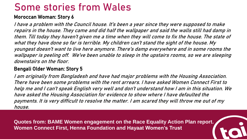### Some stories from Wales

#### Moroccan Woman: Story 6

I have a problem with the Council house. It's been a year since they were supposed to make repairs in the house. They came and did half the wallpaper and said the walls still had damp in them. Till today they haven't given me a time when they will come to fix the house. The state of what they have done so far is terrible. My children can't stand the sight of the house. My youngest doesn't want to live here anymore. There's damp everywhere and in some rooms the wallpaper is peeling off. We've been unable to sleep in the upstairs rooms, so we are sleeping downstairs on the floor.

#### Bengali Older Woman: Story 5

I am originally from Bangladesh and have had major problems with the Housing Association. There have been some problems with the rent arrears. I have asked Women Connect First to help me and I can't speak English very well and don't understand how I am in this situation. We have asked the Housing Association for evidence to show where I have defaulted the payments. It is very difficult to resolve the matter. I am scared they will throw me out of my house.

**Quotes from: BAME Women engagement on the Race Equality Action Plan report. Women Connect First, Henna Foundation and Hayaat Women's Trust**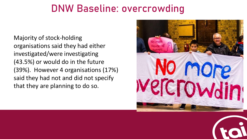#### DNW Baseline: overcrowding

Majority of stock-holding organisations said they had either investigated/were investigating (43.5%) or would do in the future (39%). However 4 organisations (17%) said they had not and did not specify that they are planning to do so.



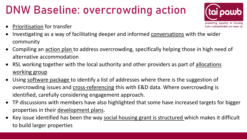# DNW Baseline: overcrowding action

- Prioritisation for transfer
- Investigating as a way of facilitating deeper and informed conversations with the wider community
- Compiling an action plan to address overcrowding, specifically helping those in high need of alternative accommodation
- RSL working together with the local authority and other providers as part of allocations working group
- Using software package to identify a list of addresses where there is the suggestion of overcrowding issues and cross-referencing this with E&D data. Where overcrowding is identified, carefully considering engagement approach.
- TP discussions with members have also highlighted that some have increased targets for bigger properties in their development plans.
- Key issue identified has been the way social housing grant is structured which makes it difficult to build larger properties

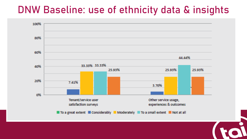#### DNW Baseline: use of ethnicity data & insights

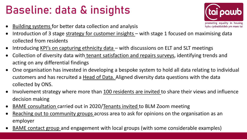## Baseline: data & insights

• Building systems for better data collection and analysis



- Introduction of 3 stage strategy for customer insights with stage 1 focused on maximising data collected from residents
- Introducing KPI's on capturing ethnicity data with discussions on ELT and SLT meetings
- Collection of diversity data with tenant satisfaction and repairs surveys, identifying trends and acting on any differential findings
- One organisation has invested in developing a bespoke system to hold all data relating to individual customers and has recruited a Head of Data. Aligned diversity data questions with the data collected by ONS.
- Involvement strategy where more than 100 residents are invited to share their views and influence decision making
- **BAME consultation carried out in 2020/Tenants invited to BLM Zoom meeting**
- Reaching out to community groups across area to ask for opinions on the organisation as an employer
- BAME contact group and engagement with local groups (with some considerable examples)